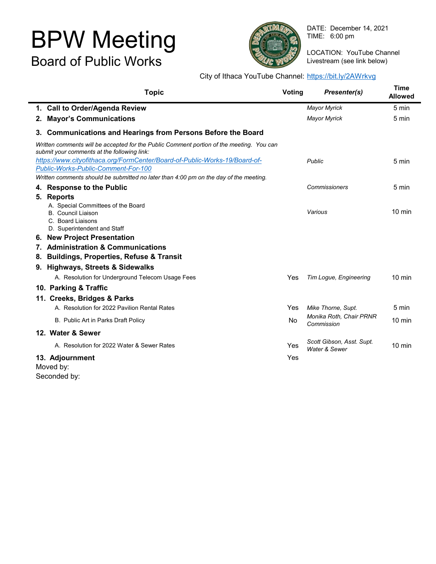# BPW Meeting Board of Public Works



DATE: December 14, 2021 TIME: 6:00 pm

LOCATION: YouTube Channel Livestream (see link below)

# City of Ithaca YouTube Channel: <https://bit.ly/2AWrkvg>

| <b>Topic</b>                                                                                                                            | Voting | Presenter(s)                               | Time<br><b>Allowed</b> |
|-----------------------------------------------------------------------------------------------------------------------------------------|--------|--------------------------------------------|------------------------|
| 1. Call to Order/Agenda Review                                                                                                          |        | <b>Mayor Myrick</b>                        | 5 min                  |
| 2. Mayor's Communications                                                                                                               |        | <b>Mayor Myrick</b>                        | 5 min                  |
| 3. Communications and Hearings from Persons Before the Board                                                                            |        |                                            |                        |
| Written comments will be accepted for the Public Comment portion of the meeting. You can<br>submit your comments at the following link: |        |                                            |                        |
| https://www.cityofithaca.org/FormCenter/Board-of-Public-Works-19/Board-of-                                                              |        | Public                                     | 5 min                  |
| Public-Works-Public-Comment-For-100                                                                                                     |        |                                            |                        |
| Written comments should be submitted no later than 4:00 pm on the day of the meeting.                                                   |        |                                            |                        |
| 4. Response to the Public                                                                                                               |        | <b>Commissioners</b>                       | 5 min                  |
| 5. Reports                                                                                                                              |        |                                            |                        |
| A. Special Committees of the Board                                                                                                      |        |                                            |                        |
| <b>B.</b> Council Liaison                                                                                                               |        | Various                                    | $10 \text{ min}$       |
| C. Board Liaisons<br>D. Superintendent and Staff                                                                                        |        |                                            |                        |
| 6. New Project Presentation                                                                                                             |        |                                            |                        |
| 7. Administration & Communications                                                                                                      |        |                                            |                        |
|                                                                                                                                         |        |                                            |                        |
| 8. Buildings, Properties, Refuse & Transit                                                                                              |        |                                            |                        |
| 9. Highways, Streets & Sidewalks                                                                                                        |        |                                            |                        |
| A. Resolution for Underground Telecom Usage Fees                                                                                        | Yes    | Tim Logue, Engineering                     | $10 \text{ min}$       |
| 10. Parking & Traffic                                                                                                                   |        |                                            |                        |
| 11. Creeks, Bridges & Parks                                                                                                             |        |                                            |                        |
| A. Resolution for 2022 Pavilion Rental Rates                                                                                            | Yes    | Mike Thorne, Supt.                         | 5 min                  |
| B. Public Art in Parks Draft Policy                                                                                                     | No.    | Monika Roth, Chair PRNR<br>Commission      | $10 \text{ min}$       |
| 12. Water & Sewer                                                                                                                       |        |                                            |                        |
| A. Resolution for 2022 Water & Sewer Rates                                                                                              | Yes    | Scott Gibson, Asst. Supt.<br>Water & Sewer | 10 min                 |
| 13. Adjournment<br>Moved by:                                                                                                            | Yes    |                                            |                        |

Seconded by: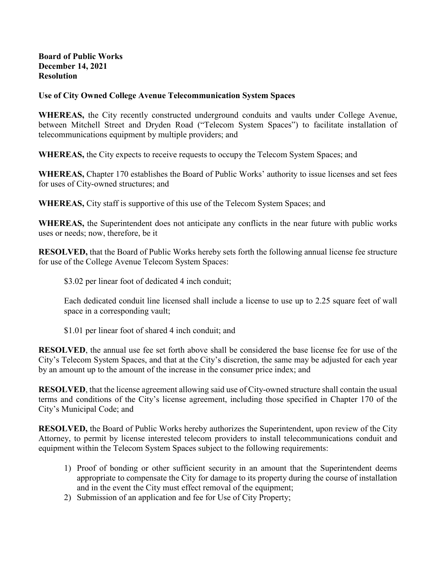## **Board of Public Works December 14, 2021 Resolution**

# **Use of City Owned College Avenue Telecommunication System Spaces**

**WHEREAS,** the City recently constructed underground conduits and vaults under College Avenue, between Mitchell Street and Dryden Road ("Telecom System Spaces") to facilitate installation of telecommunications equipment by multiple providers; and

**WHEREAS,** the City expects to receive requests to occupy the Telecom System Spaces; and

**WHEREAS,** Chapter 170 establishes the Board of Public Works' authority to issue licenses and set fees for uses of City-owned structures; and

**WHEREAS,** City staff is supportive of this use of the Telecom System Spaces; and

**WHEREAS,** the Superintendent does not anticipate any conflicts in the near future with public works uses or needs; now, therefore, be it

**RESOLVED,** that the Board of Public Works hereby sets forth the following annual license fee structure for use of the College Avenue Telecom System Spaces:

\$3.02 per linear foot of dedicated 4 inch conduit;

Each dedicated conduit line licensed shall include a license to use up to 2.25 square feet of wall space in a corresponding vault;

\$1.01 per linear foot of shared 4 inch conduit; and

**RESOLVED**, the annual use fee set forth above shall be considered the base license fee for use of the City's Telecom System Spaces, and that at the City's discretion, the same may be adjusted for each year by an amount up to the amount of the increase in the consumer price index; and

**RESOLVED**, that the license agreement allowing said use of City-owned structure shall contain the usual terms and conditions of the City's license agreement, including those specified in Chapter 170 of the City's Municipal Code; and

**RESOLVED,** the Board of Public Works hereby authorizes the Superintendent, upon review of the City Attorney, to permit by license interested telecom providers to install telecommunications conduit and equipment within the Telecom System Spaces subject to the following requirements:

- 1) Proof of bonding or other sufficient security in an amount that the Superintendent deems appropriate to compensate the City for damage to its property during the course of installation and in the event the City must effect removal of the equipment;
- 2) Submission of an application and fee for Use of City Property;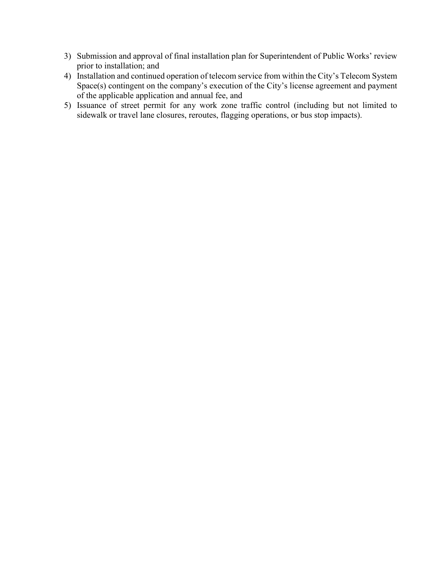- 3) Submission and approval of final installation plan for Superintendent of Public Works' review prior to installation; and
- 4) Installation and continued operation of telecom service from within the City's Telecom System Space(s) contingent on the company's execution of the City's license agreement and payment of the applicable application and annual fee, and
- 5) Issuance of street permit for any work zone traffic control (including but not limited to sidewalk or travel lane closures, reroutes, flagging operations, or bus stop impacts).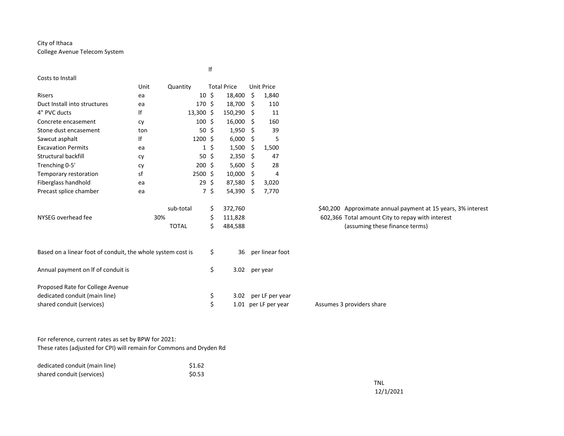### City of Ithaca College Avenue Telecom System

| Costs to Install                                            |      |                  |    |                    |      |                      |                                                              |
|-------------------------------------------------------------|------|------------------|----|--------------------|------|----------------------|--------------------------------------------------------------|
|                                                             | Unit | Quantity         |    | <b>Total Price</b> |      | <b>Unit Price</b>    |                                                              |
| Risers                                                      | ea   | 10               | Ŝ. | 18,400             | - \$ | 1,840                |                                                              |
| Duct Install into structures                                | ea   | 170 <sub>5</sub> |    | 18,700             | - \$ | 110                  |                                                              |
| 4" PVC ducts                                                | lf   | $13,300$ \$      |    | 150,290 \$         |      | 11                   |                                                              |
| Concrete encasement                                         | cy   | $100 \text{ }$   |    | 16,000             | - \$ | 160                  |                                                              |
| Stone dust encasement                                       | ton  | 50               | Ś. | $1,950$ \$         |      | 39                   |                                                              |
| Sawcut asphalt                                              | lf   | $1200 \text{ }$  |    | 6,000              | - \$ | 5                    |                                                              |
| <b>Excavation Permits</b>                                   | ea   | $\mathbf{1}$     | \$ | 1,500              | -\$  | 1,500                |                                                              |
| Structural backfill                                         | cy   | 50               | \$ | $2,350$ \$         |      | 47                   |                                                              |
| Trenching 0-5'                                              | cy   | $200$ \$         |    | $5,600$ \$         |      | 28                   |                                                              |
| Temporary restoration                                       | sf   | $2500$ \$        |    | $10,000$ \$        |      | 4                    |                                                              |
| Fiberglass handhold                                         | ea   | 29               | \$ | 87,580             | -\$  | 3,020                |                                                              |
| Precast splice chamber                                      | ea   | $7^{\circ}$      | \$ | 54,390             | - \$ | 7,770                |                                                              |
|                                                             |      |                  |    |                    |      |                      |                                                              |
|                                                             |      | sub-total        | \$ | 372,760            |      |                      | \$40,200 Approximate annual payment at 15 years, 3% interest |
| NYSEG overhead fee                                          |      | 30%              | \$ | 111,828            |      |                      | 602,366 Total amount City to repay with interest             |
|                                                             |      | <b>TOTAL</b>     | \$ | 484,588            |      |                      | (assuming these finance terms)                               |
|                                                             |      |                  |    |                    |      |                      |                                                              |
| Based on a linear foot of conduit, the whole system cost is |      |                  | \$ | 36                 |      | per linear foot      |                                                              |
| Annual payment on If of conduit is                          |      |                  | \$ | 3.02               |      | per year             |                                                              |
| Proposed Rate for College Avenue                            |      |                  |    |                    |      |                      |                                                              |
| dedicated conduit (main line)                               |      |                  | \$ | 3.02               |      | per LF per year      |                                                              |
| shared conduit (services)                                   |      |                  | \$ |                    |      | 1.01 per LF per year | Assumes 3 providers share                                    |

lf

For reference, current rates as set by BPW for 2021:

These rates (adjusted for CPI) will remain for Commons and Dryden Rd

| dedicated conduit (main line) | \$1.62 |
|-------------------------------|--------|
| shared conduit (services)     | \$0.53 |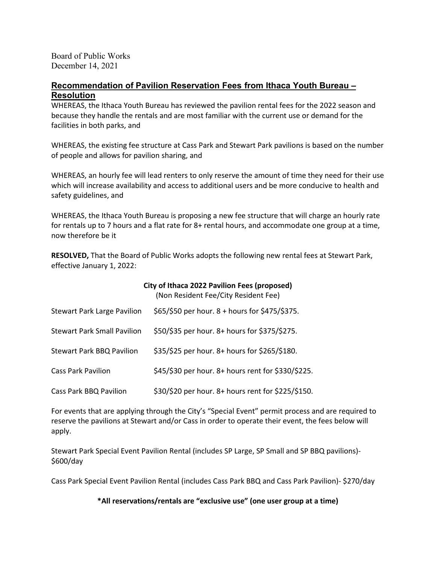Board of Public Works December 14, 2021

# **Recommendation of Pavilion Reservation Fees from Ithaca Youth Bureau – Resolution**

WHEREAS, the Ithaca Youth Bureau has reviewed the pavilion rental fees for the 2022 season and because they handle the rentals and are most familiar with the current use or demand for the facilities in both parks, and

WHEREAS, the existing fee structure at Cass Park and Stewart Park pavilions is based on the number of people and allows for pavilion sharing, and

WHEREAS, an hourly fee will lead renters to only reserve the amount of time they need for their use which will increase availability and access to additional users and be more conducive to health and safety guidelines, and

WHEREAS, the Ithaca Youth Bureau is proposing a new fee structure that will charge an hourly rate for rentals up to 7 hours and a flat rate for 8+ rental hours, and accommodate one group at a time, now therefore be it

**RESOLVED,** That the Board of Public Works adopts the following new rental fees at Stewart Park, effective January 1, 2022:

|                                    | City of Ithaca 2022 Pavilion Fees (proposed)<br>(Non Resident Fee/City Resident Fee) |
|------------------------------------|--------------------------------------------------------------------------------------|
| <b>Stewart Park Large Pavilion</b> | \$65/\$50 per hour. 8 + hours for \$475/\$375.                                       |
| <b>Stewart Park Small Pavilion</b> | \$50/\$35 per hour. 8+ hours for \$375/\$275.                                        |
| <b>Stewart Park BBQ Pavilion</b>   | \$35/\$25 per hour. 8+ hours for \$265/\$180.                                        |
| <b>Cass Park Pavilion</b>          | \$45/\$30 per hour. 8+ hours rent for \$330/\$225.                                   |
| Cass Park BBQ Pavilion             | \$30/\$20 per hour. 8+ hours rent for \$225/\$150.                                   |

For events that are applying through the City's "Special Event" permit process and are required to reserve the pavilions at Stewart and/or Cass in order to operate their event, the fees below will apply.

Stewart Park Special Event Pavilion Rental (includes SP Large, SP Small and SP BBQ pavilions)- \$600/day

Cass Park Special Event Pavilion Rental (includes Cass Park BBQ and Cass Park Pavilion)- \$270/day

**\*All reservations/rentals are "exclusive use" (one user group at a time)**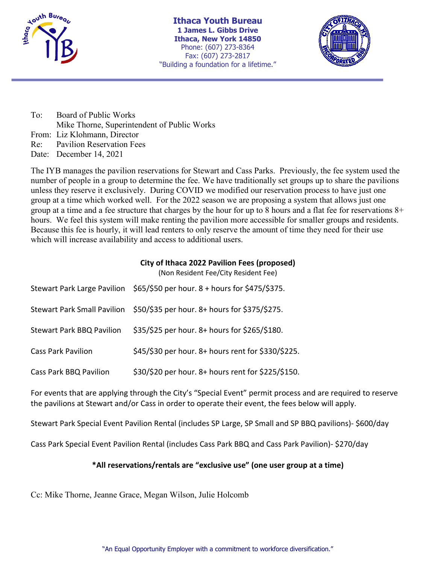

**Ithaca Youth Bureau 1 James L. Gibbs Drive Ithaca, New York 14850** Phone: (607) 273-8364 Fax: (607) 273-2817 "Building a foundation for a lifetime."



To: Board of Public Works Mike Thorne, Superintendent of Public Works From: Liz Klohmann, Director Re: Pavilion Reservation Fees Date: December 14, 2021

The IYB manages the pavilion reservations for Stewart and Cass Parks. Previously, the fee system used the number of people in a group to determine the fee. We have traditionally set groups up to share the pavilions unless they reserve it exclusively. During COVID we modified our reservation process to have just one group at a time which worked well. For the 2022 season we are proposing a system that allows just one group at a time and a fee structure that charges by the hour for up to 8 hours and a flat fee for reservations 8+ hours. We feel this system will make renting the pavilion more accessible for smaller groups and residents. Because this fee is hourly, it will lead renters to only reserve the amount of time they need for their use which will increase availability and access to additional users.

## **City of Ithaca 2022 Pavilion Fees (proposed)**

(Non Resident Fee/City Resident Fee)

|                                    | Stewart Park Large Pavilion \$65/\$50 per hour. 8 + hours for \$475/\$375. |
|------------------------------------|----------------------------------------------------------------------------|
| <b>Stewart Park Small Pavilion</b> | \$50/\$35 per hour. 8+ hours for \$375/\$275.                              |
| <b>Stewart Park BBQ Pavilion</b>   | \$35/\$25 per hour. 8+ hours for \$265/\$180.                              |
| <b>Cass Park Pavilion</b>          | \$45/\$30 per hour. 8+ hours rent for \$330/\$225.                         |
| <b>Cass Park BBQ Pavilion</b>      | \$30/\$20 per hour. 8+ hours rent for \$225/\$150.                         |

For events that are applying through the City's "Special Event" permit process and are required to reserve the pavilions at Stewart and/or Cass in order to operate their event, the fees below will apply.

Stewart Park Special Event Pavilion Rental (includes SP Large, SP Small and SP BBQ pavilions)- \$600/day

Cass Park Special Event Pavilion Rental (includes Cass Park BBQ and Cass Park Pavilion)- \$270/day

## **\*All reservations/rentals are "exclusive use" (one user group at a time)**

Cc: Mike Thorne, Jeanne Grace, Megan Wilson, Julie Holcomb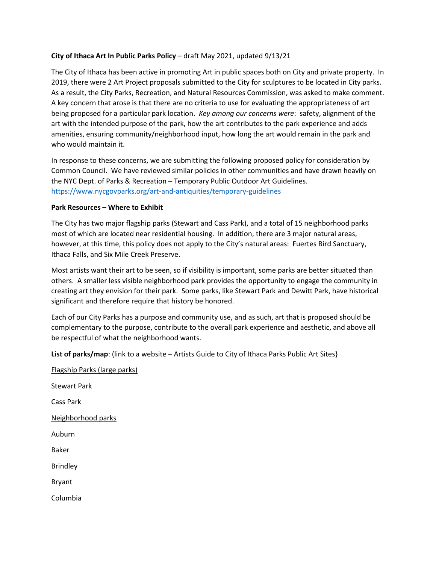## **City of Ithaca Art In Public Parks Policy** – draft May 2021, updated 9/13/21

The City of Ithaca has been active in promoting Art in public spaces both on City and private property. In 2019, there were 2 Art Project proposals submitted to the City for sculptures to be located in City parks. As a result, the City Parks, Recreation, and Natural Resources Commission, was asked to make comment. A key concern that arose is that there are no criteria to use for evaluating the appropriateness of art being proposed for a particular park location. *Key among our concerns were*: safety, alignment of the art with the intended purpose of the park, how the art contributes to the park experience and adds amenities, ensuring community/neighborhood input, how long the art would remain in the park and who would maintain it.

In response to these concerns, we are submitting the following proposed policy for consideration by Common Council. We have reviewed similar policies in other communities and have drawn heavily on the NYC Dept. of Parks & Recreation – Temporary Public Outdoor Art Guidelines. <https://www.nycgovparks.org/art-and-antiquities/temporary-guidelines>

## **Park Resources – Where to Exhibit**

The City has two major flagship parks (Stewart and Cass Park), and a total of 15 neighborhood parks most of which are located near residential housing. In addition, there are 3 major natural areas, however, at this time, this policy does not apply to the City's natural areas: Fuertes Bird Sanctuary, Ithaca Falls, and Six Mile Creek Preserve.

Most artists want their art to be seen, so if visibility is important, some parks are better situated than others. A smaller less visible neighborhood park provides the opportunity to engage the community in creating art they envision for their park. Some parks, like Stewart Park and Dewitt Park, have historical significant and therefore require that history be honored.

Each of our City Parks has a purpose and community use, and as such, art that is proposed should be complementary to the purpose, contribute to the overall park experience and aesthetic, and above all be respectful of what the neighborhood wants.

**List of parks/map**: (link to a website – Artists Guide to City of Ithaca Parks Public Art Sites}

Flagship Parks (large parks)

Stewart Park Cass Park Neighborhood parks Auburn Baker Brindley Bryant Columbia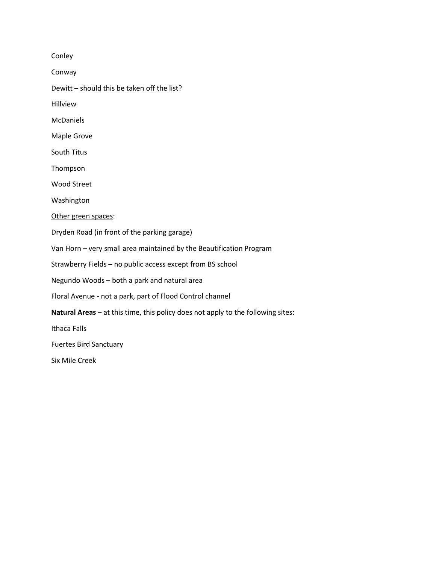Conley

Conway

Dewitt – should this be taken off the list?

Hillview

McDaniels

Maple Grove

South Titus

Thompson

Wood Street

Washington

Other green spaces:

Dryden Road (in front of the parking garage)

Van Horn – very small area maintained by the Beautification Program

Strawberry Fields – no public access except from BS school

Negundo Woods – both a park and natural area

Floral Avenue - not a park, part of Flood Control channel

**Natural Areas** – at this time, this policy does not apply to the following sites:

Ithaca Falls

Fuertes Bird Sanctuary

Six Mile Creek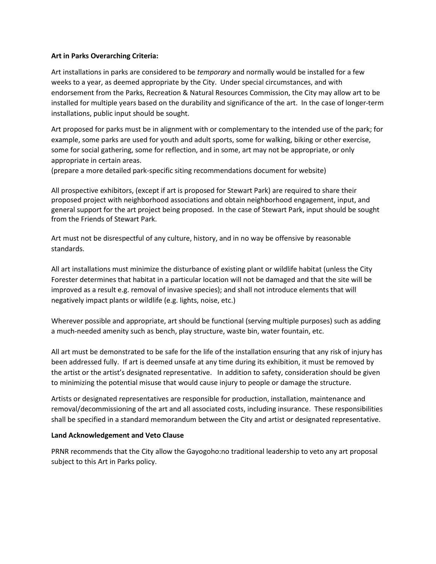## **Art in Parks Overarching Criteria:**

Art installations in parks are considered to be *temporary* and normally would be installed for a few weeks to a year, as deemed appropriate by the City. Under special circumstances, and with endorsement from the Parks, Recreation & Natural Resources Commission, the City may allow art to be installed for multiple years based on the durability and significance of the art. In the case of longer-term installations, public input should be sought.

Art proposed for parks must be in alignment with or complementary to the intended use of the park; for example, some parks are used for youth and adult sports, some for walking, biking or other exercise, some for social gathering, some for reflection, and in some, art may not be appropriate, or only appropriate in certain areas.

(prepare a more detailed park-specific siting recommendations document for website)

All prospective exhibitors, (except if art is proposed for Stewart Park) are required to share their proposed project with neighborhood associations and obtain neighborhood engagement, input, and general support for the art project being proposed. In the case of Stewart Park, input should be sought from the Friends of Stewart Park.

Art must not be disrespectful of any culture, history, and in no way be offensive by reasonable standards.

All art installations must minimize the disturbance of existing plant or wildlife habitat (unless the City Forester determines that habitat in a particular location will not be damaged and that the site will be improved as a result e.g. removal of invasive species); and shall not introduce elements that will negatively impact plants or wildlife (e.g. lights, noise, etc.)

Wherever possible and appropriate, art should be functional (serving multiple purposes) such as adding a much-needed amenity such as bench, play structure, waste bin, water fountain, etc.

All art must be demonstrated to be safe for the life of the installation ensuring that any risk of injury has been addressed fully. If art is deemed unsafe at any time during its exhibition, it must be removed by the artist or the artist's designated representative. In addition to safety, consideration should be given to minimizing the potential misuse that would cause injury to people or damage the structure.

Artists or designated representatives are responsible for production, installation, maintenance and removal/decommissioning of the art and all associated costs, including insurance. These responsibilities shall be specified in a standard memorandum between the City and artist or designated representative.

## **Land Acknowledgement and Veto Clause**

PRNR recommends that the City allow the Gayogoho:no traditional leadership to veto any art proposal subject to this Art in Parks policy.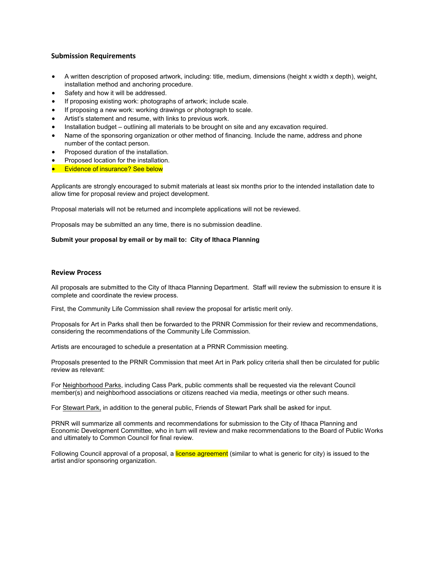#### **Submission Requirements**

- A written description of proposed artwork, including: title, medium, dimensions (height x width x depth), weight, installation method and anchoring procedure.
- Safety and how it will be addressed.
- If proposing existing work: photographs of artwork; include scale.
- If proposing a new work: working drawings or photograph to scale.
- Artist's statement and resume, with links to previous work.
- Installation budget outlining all materials to be brought on site and any excavation required.
- Name of the sponsoring organization or other method of financing. Include the name, address and phone number of the contact person.
- Proposed duration of the installation.
- Proposed location for the installation.
- **•** Evidence of insurance? See below

Applicants are strongly encouraged to submit materials at least six months prior to the intended installation date to allow time for proposal review and project development.

Proposal materials will not be returned and incomplete applications will not be reviewed.

Proposals may be submitted an any time, there is no submission deadline.

#### **Submit your proposal by email or by mail to: City of Ithaca Planning**

#### **Review Process**

All proposals are submitted to the City of Ithaca Planning Department. Staff will review the submission to ensure it is complete and coordinate the review process.

First, the Community Life Commission shall review the proposal for artistic merit only.

Proposals for Art in Parks shall then be forwarded to the PRNR Commission for their review and recommendations, considering the recommendations of the Community Life Commission.

Artists are encouraged to schedule a presentation at a PRNR Commission meeting.

Proposals presented to the PRNR Commission that meet Art in Park policy criteria shall then be circulated for public review as relevant:

For Neighborhood Parks, including Cass Park, public comments shall be requested via the relevant Council member(s) and neighborhood associations or citizens reached via media, meetings or other such means.

For Stewart Park, in addition to the general public, Friends of Stewart Park shall be asked for input.

PRNR will summarize all comments and recommendations for submission to the City of Ithaca Planning and Economic Development Committee, who in turn will review and make recommendations to the Board of Public Works and ultimately to Common Council for final review.

Following Council approval of a proposal, a license agreement (similar to what is generic for city) is issued to the artist and/or sponsoring organization.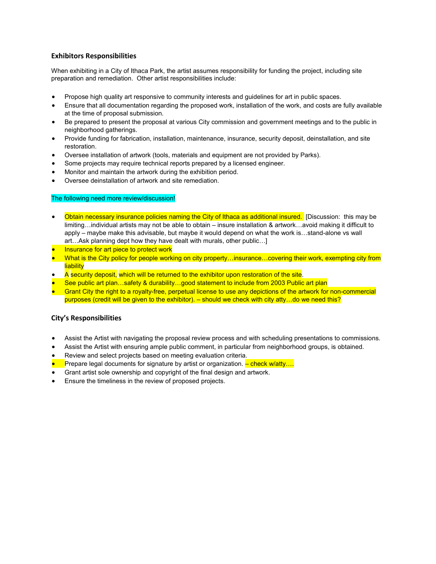#### **Exhibitors Responsibilities**

When exhibiting in a City of Ithaca Park, the artist assumes responsibility for funding the project, including site preparation and remediation. Other artist responsibilities include:

- Propose high quality art responsive to community interests and guidelines for art in public spaces.
- Ensure that all documentation regarding the proposed work, installation of the work, and costs are fully available at the time of proposal submission.
- Be prepared to present the proposal at various City commission and government meetings and to the public in neighborhood gatherings.
- Provide funding for fabrication, installation, maintenance, insurance, security deposit, deinstallation, and site restoration.
- Oversee installation of artwork (tools, materials and equipment are not provided by Parks).
- Some projects may require technical reports prepared by a licensed engineer.
- Monitor and maintain the artwork during the exhibition period.
- Oversee deinstallation of artwork and site remediation.

#### The following need more review/discussion!

- Obtain necessary insurance policies naming the City of Ithaca as additional insured. [Discussion: this may be limiting…individual artists may not be able to obtain – insure installation & artwork…avoid making it difficult to apply – maybe make this advisable, but maybe it would depend on what the work is…stand-alone vs wall art…Ask planning dept how they have dealt with murals, other public…]
- **Insurance for art piece to protect work**
- What is the City policy for people working on city property…insurance…covering their work, exempting city from **liability**
- $\bullet$  A security deposit, which will be returned to the exhibitor upon restoration of the site.
- See public art plan…safety & durability…good statement to include from 2003 Public art plan
- Grant City the right to a royalty-free, perpetual license to use any depictions of the artwork for non-commercial purposes (credit will be given to the exhibitor). – should we check with city atty…do we need this?

#### **City's Responsibilities**

- Assist the Artist with navigating the proposal review process and with scheduling presentations to commissions.
- Assist the Artist with ensuring ample public comment, in particular from neighborhood groups, is obtained.
- Review and select projects based on meeting evaluation criteria.
- **•** Prepare legal documents for signature by artist or organization. <mark>– check w/atty....</mark>
- Grant artist sole ownership and copyright of the final design and artwork.
- Ensure the timeliness in the review of proposed projects.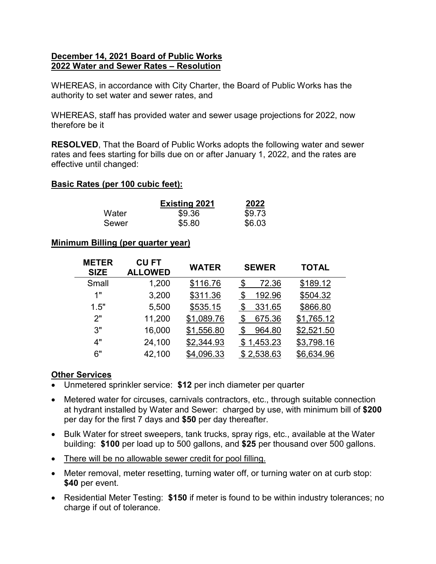# **December 14, 2021 Board of Public Works 2022 Water and Sewer Rates – Resolution**

WHEREAS, in accordance with City Charter, the Board of Public Works has the authority to set water and sewer rates, and

WHEREAS, staff has provided water and sewer usage projections for 2022, now therefore be it

**RESOLVED**, That the Board of Public Works adopts the following water and sewer rates and fees starting for bills due on or after January 1, 2022, and the rates are effective until changed:

# **Basic Rates (per 100 cubic feet):**

|       | <b>Existing 2021</b> | 2022   |
|-------|----------------------|--------|
| Water | \$9.36               | \$9.73 |
| Sewer | \$5.80               | \$6.03 |

# **Minimum Billing (per quarter year)**

| <b>METER</b><br><b>SIZE</b> | <b>CU FT</b><br><b>ALLOWED</b> | <b>WATER</b> | <b>SEWER</b> | <b>TOTAL</b> |  |
|-----------------------------|--------------------------------|--------------|--------------|--------------|--|
| Small                       | 1,200                          | \$116.76     | 72.36<br>\$  | \$189.12     |  |
| 1"                          | 3,200                          | \$311.36     | 192.96<br>\$ | \$504.32     |  |
| 1.5"                        | 5,500                          | \$535.15     | 331.65<br>\$ | \$866.80     |  |
| 2"                          | 11,200                         | \$1,089.76   | 675.36       | \$1,765.12   |  |
| 3"                          | 16,000                         | \$1,556.80   | 964.80<br>\$ | \$2,521.50   |  |
| 4"                          | 24,100                         | \$2,344.93   | \$1,453.23   | \$3,798.16   |  |
| 6"                          | 42,100                         | \$4,096.33   | \$2,538.63   | \$6,634.96   |  |

# **Other Services**

- Unmetered sprinkler service: **\$12** per inch diameter per quarter
- Metered water for circuses, carnivals contractors, etc., through suitable connection at hydrant installed by Water and Sewer: charged by use, with minimum bill of **\$200** per day for the first 7 days and **\$50** per day thereafter.
- Bulk Water for street sweepers, tank trucks, spray rigs, etc., available at the Water building: **\$100** per load up to 500 gallons, and **\$25** per thousand over 500 gallons.
- There will be no allowable sewer credit for pool filling.
- Meter removal, meter resetting, turning water off, or turning water on at curb stop: **\$40** per event.
- Residential Meter Testing: **\$150** if meter is found to be within industry tolerances; no charge if out of tolerance.